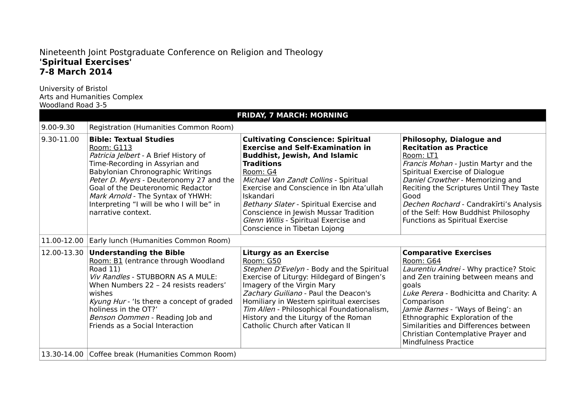## Nineteenth Joint Postgraduate Conference on Religion and Theology **'Spiritual Exercises' 7-8 March 2014**

University of Bristol Arts and Humanities Complex Woodland Road 3-5

| <b>FRIDAY, 7 MARCH: MORNING</b> |                                                                                                                                                                                                                                                                                                                                                     |                                                                                                                                                                                                                                                                                                                                                                                                                             |                                                                                                                                                                                                                                                                                                                                                                                   |  |  |
|---------------------------------|-----------------------------------------------------------------------------------------------------------------------------------------------------------------------------------------------------------------------------------------------------------------------------------------------------------------------------------------------------|-----------------------------------------------------------------------------------------------------------------------------------------------------------------------------------------------------------------------------------------------------------------------------------------------------------------------------------------------------------------------------------------------------------------------------|-----------------------------------------------------------------------------------------------------------------------------------------------------------------------------------------------------------------------------------------------------------------------------------------------------------------------------------------------------------------------------------|--|--|
| 9.00-9.30                       | Registration (Humanities Common Room)                                                                                                                                                                                                                                                                                                               |                                                                                                                                                                                                                                                                                                                                                                                                                             |                                                                                                                                                                                                                                                                                                                                                                                   |  |  |
| 9.30-11.00                      | <b>Bible: Textual Studies</b><br>Room: G113<br>Patricia Jelbert - A Brief History of<br>Time-Recording in Assyrian and<br>Babylonian Chronographic Writings<br>Peter D. Myers - Deuteronomy 27 and the<br>Goal of the Deuteronomic Redactor<br>Mark Arnold - The Syntax of YHWH:<br>Interpreting "I will be who I will be" in<br>narrative context. | <b>Cultivating Conscience: Spiritual</b><br><b>Exercise and Self-Examination in</b><br><b>Buddhist, Jewish, And Islamic</b><br><b>Traditions</b><br>Room: G4<br>Michael Van Zandt Collins - Spiritual<br>Exercise and Conscience in Ibn Ata'ullah<br>Iskandari<br>Bethany Slater - Spiritual Exercise and<br>Conscience in Jewish Mussar Tradition<br>Glenn Willis - Spiritual Exercise and<br>Conscience in Tibetan Lojong | <b>Philosophy, Dialogue and</b><br><b>Recitation as Practice</b><br>Room: LT1<br>Francis Mohan - Justin Martyr and the<br>Spiritual Exercise of Dialogue<br>Daniel Crowther - Memorizing and<br>Reciting the Scriptures Until They Taste<br>Good<br>Dechen Rochard - Candrakīrti's Analysis<br>of the Self: How Buddhist Philosophy<br>Functions as Spiritual Exercise            |  |  |
| 11.00-12.00                     | Early lunch (Humanities Common Room)                                                                                                                                                                                                                                                                                                                |                                                                                                                                                                                                                                                                                                                                                                                                                             |                                                                                                                                                                                                                                                                                                                                                                                   |  |  |
| 12.00-13.30                     | <b>Understanding the Bible</b><br>Room: B1 (entrance through Woodland<br>Road 11)<br>Viv Randles - STUBBORN AS A MULE:<br>When Numbers 22 - 24 resists readers'<br>wishes<br>Kyung Hur - 'Is there a concept of graded<br>holiness in the OT?'<br>Benson Oommen - Reading Job and<br>Friends as a Social Interaction                                | <b>Liturgy as an Exercise</b><br>Room: G50<br>Stephen D'Evelyn - Body and the Spiritual<br>Exercise of Liturgy: Hildegard of Bingen's<br>Imagery of the Virgin Mary<br>Zachary Guiliano - Paul the Deacon's<br>Homiliary in Western spiritual exercises<br>Tim Allen - Philosophical Foundationalism,<br>History and the Liturgy of the Roman<br>Catholic Church after Vatican II                                           | <b>Comparative Exercises</b><br>Room: G64<br>Laurentiu Andrei - Why practice? Stoic<br>and Zen training between means and<br>goals<br>Luke Perera - Bodhicitta and Charity: A<br>Comparison<br>Jamie Barnes - 'Ways of Being': an<br>Ethnographic Exploration of the<br>Similarities and Differences between<br>Christian Contemplative Prayer and<br><b>Mindfulness Practice</b> |  |  |
|                                 | 13.30-14.00 Coffee break (Humanities Common Room)                                                                                                                                                                                                                                                                                                   |                                                                                                                                                                                                                                                                                                                                                                                                                             |                                                                                                                                                                                                                                                                                                                                                                                   |  |  |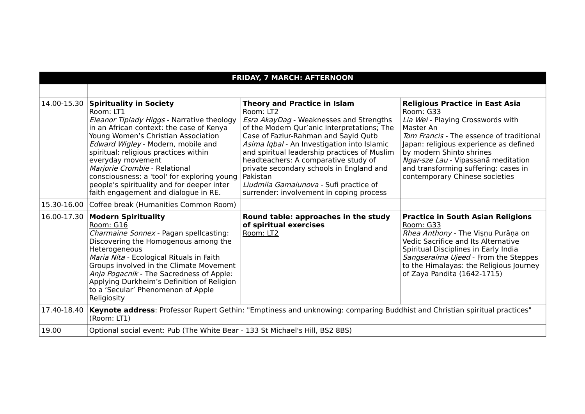| <b>FRIDAY, 7 MARCH: AFTERNOON</b> |                                                                                                                                                                                                                                                                                                                                                                                                                                                             |                                                                                                                                                                                                                                                                                                                                                                                                                                                                         |                                                                                                                                                                                                                                                                                                                                          |  |  |
|-----------------------------------|-------------------------------------------------------------------------------------------------------------------------------------------------------------------------------------------------------------------------------------------------------------------------------------------------------------------------------------------------------------------------------------------------------------------------------------------------------------|-------------------------------------------------------------------------------------------------------------------------------------------------------------------------------------------------------------------------------------------------------------------------------------------------------------------------------------------------------------------------------------------------------------------------------------------------------------------------|------------------------------------------------------------------------------------------------------------------------------------------------------------------------------------------------------------------------------------------------------------------------------------------------------------------------------------------|--|--|
|                                   |                                                                                                                                                                                                                                                                                                                                                                                                                                                             |                                                                                                                                                                                                                                                                                                                                                                                                                                                                         |                                                                                                                                                                                                                                                                                                                                          |  |  |
|                                   | 14.00-15.30 Spirituality in Society<br>Room: LT1<br>Eleanor Tiplady Higgs - Narrative theology<br>in an African context: the case of Kenya<br>Young Women's Christian Association<br>Edward Wigley - Modern, mobile and<br>spiritual: religious practices within<br>everyday movement<br>Marjorie Crombie - Relational<br>consciousness: a 'tool' for exploring young<br>people's spirituality and for deeper inter<br>faith engagement and dialogue in RE. | <b>Theory and Practice in Islam</b><br>Room: LT2<br>Esra AkayDag - Weaknesses and Strengths<br>of the Modern Qur'anic Interpretations; The<br>Case of Fazlur-Rahman and Sayid Qutb<br>Asima Iqbal - An Investigation into Islamic<br>and spiritual leadership practices of Muslim<br>headteachers: A comparative study of<br>private secondary schools in England and<br>Pakistan<br>Liudmila Gamaiunova - Sufi practice of<br>surrender: involvement in coping process | <b>Religious Practice in East Asia</b><br>Room: G33<br>Lia Wei - Playing Crosswords with<br>Master An<br>Tom Francis - The essence of traditional<br>Japan: religious experience as defined<br>by modern Shinto shrines<br>Ngar-sze Lau - Vipassanā meditation<br>and transforming suffering: cases in<br>contemporary Chinese societies |  |  |
|                                   | 15.30-16.00 Coffee break (Humanities Common Room)                                                                                                                                                                                                                                                                                                                                                                                                           |                                                                                                                                                                                                                                                                                                                                                                                                                                                                         |                                                                                                                                                                                                                                                                                                                                          |  |  |
| 16.00-17.30                       | <b>Modern Spirituality</b><br>Room: G16<br>Charmaine Sonnex - Pagan spellcasting:<br>Discovering the Homogenous among the<br>Heterogeneous<br>Maria Nita - Ecological Rituals in Faith<br>Groups involved in the Climate Movement<br>Anja Pogacnik - The Sacredness of Apple:<br>Applying Durkheim's Definition of Religion<br>to a 'Secular' Phenomenon of Apple<br>Religiosity                                                                            | Round table: approaches in the study<br>of spiritual exercises<br>Room: LT2                                                                                                                                                                                                                                                                                                                                                                                             | <b>Practice in South Asian Religions</b><br>Room: G33<br>Rhea Anthony - The Vișnu Purāņa on<br>Vedic Sacrifice and Its Alternative<br>Spiritual Disciplines in Early India<br>Sangseraima Ujeed - From the Steppes<br>to the Himalayas: the Religious Journey<br>of Zaya Pandita (1642-1715)                                             |  |  |
| 17.40-18.40                       | Keynote address: Professor Rupert Gethin: "Emptiness and unknowing: comparing Buddhist and Christian spiritual practices"<br>(Room: LT1)                                                                                                                                                                                                                                                                                                                    |                                                                                                                                                                                                                                                                                                                                                                                                                                                                         |                                                                                                                                                                                                                                                                                                                                          |  |  |
| 19.00                             | Optional social event: Pub (The White Bear - 133 St Michael's Hill, BS2 8BS)                                                                                                                                                                                                                                                                                                                                                                                |                                                                                                                                                                                                                                                                                                                                                                                                                                                                         |                                                                                                                                                                                                                                                                                                                                          |  |  |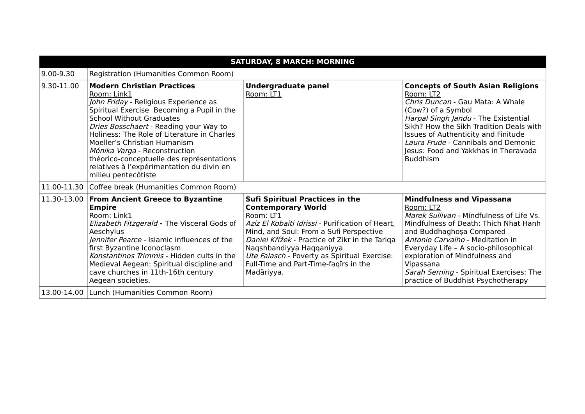| <b>SATURDAY, 8 MARCH: MORNING</b> |                                                                                                                                                                                                                                                                                                                                                                                                                                                       |                                                                                                                                                                                                                                                                                                                                                                      |                                                                                                                                                                                                                                                                                                                                                                              |  |  |
|-----------------------------------|-------------------------------------------------------------------------------------------------------------------------------------------------------------------------------------------------------------------------------------------------------------------------------------------------------------------------------------------------------------------------------------------------------------------------------------------------------|----------------------------------------------------------------------------------------------------------------------------------------------------------------------------------------------------------------------------------------------------------------------------------------------------------------------------------------------------------------------|------------------------------------------------------------------------------------------------------------------------------------------------------------------------------------------------------------------------------------------------------------------------------------------------------------------------------------------------------------------------------|--|--|
| $9.00 - 9.30$                     | Registration (Humanities Common Room)                                                                                                                                                                                                                                                                                                                                                                                                                 |                                                                                                                                                                                                                                                                                                                                                                      |                                                                                                                                                                                                                                                                                                                                                                              |  |  |
| 9.30-11.00                        | <b>Modern Christian Practices</b><br>Room: Link1<br>John Friday - Religious Experience as<br>Spiritual Exercise Becoming a Pupil in the<br><b>School Without Graduates</b><br>Dries Bosschaert - Reading your Way to<br>Holiness: The Role of Literature in Charles<br>Moeller's Christian Humanism<br>Mónika Varga - Reconstruction<br>théorico-conceptuelle des représentations<br>relatives à l'expérimentation du divin en<br>milieu pentecôtiste | <b>Undergraduate panel</b><br>Room: LT1                                                                                                                                                                                                                                                                                                                              | <b>Concepts of South Asian Religions</b><br>Room: LT2<br>Chris Duncan - Gau Mata: A Whale<br>(Cow?) of a Symbol<br>Harpal Singh Jandu - The Existential<br>Sikh? How the Sikh Tradition Deals with<br>Issues of Authenticity and Finitude<br>Laura Frude - Cannibals and Demonic<br>Jesus: Food and Yakkhas in Theravada<br><b>Buddhism</b>                                  |  |  |
|                                   | 11.00-11.30 Coffee break (Humanities Common Room)                                                                                                                                                                                                                                                                                                                                                                                                     |                                                                                                                                                                                                                                                                                                                                                                      |                                                                                                                                                                                                                                                                                                                                                                              |  |  |
| 11.30-13.00                       | <b>From Ancient Greece to Byzantine</b><br><b>Empire</b><br>Room: Link1<br>Elizabeth Fitzgerald - The Visceral Gods of<br>Aeschylus<br>Jennifer Pearce - Islamic influences of the<br>first Byzantine Iconoclasm<br>Konstantinos Trimmis - Hidden cults in the<br>Medieval Aegean: Spiritual discipline and<br>cave churches in 11th-16th century<br>Aegean societies.                                                                                | <b>Sufi Spiritual Practices in the</b><br><b>Contemporary World</b><br>Room: LT1<br>Aziz El Kobaiti Idrissi - Purification of Heart,<br>Mind, and Soul: From a Sufi Perspective<br>Daniel Křížek - Practice of Zikr in the Tariga<br>Naqshbandiyya Haqqaniyya<br>Ute Falasch - Poverty as Spiritual Exercise:<br>Full-Time and Part-Time-fagirs in the<br>Madāriyya. | <b>Mindfulness and Vipassana</b><br>Room: LT2<br>Marek Sullivan - Mindfulness of Life Vs.<br>Mindfulness of Death: Thich Nhat Hanh<br>and Buddhaghosa Compared<br>Antonio Carvalho - Meditation in<br>Everyday Life - A socio-philosophical<br>exploration of Mindfulness and<br>Vipassana<br>Sarah Serning - Spiritual Exercises: The<br>practice of Buddhist Psychotherapy |  |  |
|                                   | 13.00-14.00 Lunch (Humanities Common Room)                                                                                                                                                                                                                                                                                                                                                                                                            |                                                                                                                                                                                                                                                                                                                                                                      |                                                                                                                                                                                                                                                                                                                                                                              |  |  |